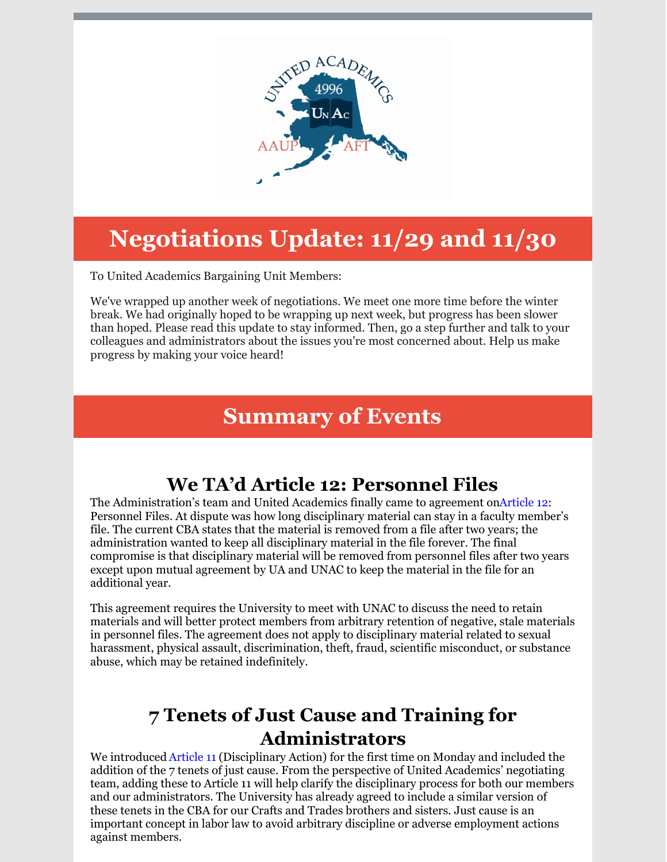

# **Negotiations Update: 11/29 and 11/30**

To United Academics Bargaining Unit Members:

We've wrapped up another week of negotiations. We meet one more time before the winter break. We had originally hoped to be wrapping up next week, but progress has been slower than hoped. Please read this update to stay informed. Then, go a step further and talk to your colleagues and administrators about the issues you're most concerned about. Help us make progress by making your voice heard!

## **Summary of Events**

## **We TA'd Article 12: Personnel Files**

The Administration's team and United Academics finally came to agreement o[nArticle](http://unitedacademics.net/wp-content/uploads/2021/12/Article-12-TAd-11-29-21.pdf) 12: Personnel Files. At dispute was how long disciplinary material can stay in a faculty member's file. The current CBA states that the material is removed from a file after two years; the administration wanted to keep all disciplinary material in the file forever. The final compromise is that disciplinary material will be removed from personnel files after two years except upon mutual agreement by UA and UNAC to keep the material in the file for an additional year.

This agreement requires the University to meet with UNAC to discuss the need to retain materials and will better protect members from arbitrary retention of negative, stale materials in personnel files. The agreement does not apply to disciplinary material related to sexual harassment, physical assault, discrimination, theft, fraud, scientific misconduct, or substance abuse, which may be retained indefinitely.

## **7 Tenets of Just Cause and Training for Administrators**

We introduced [Article](http://unitedacademics.net/wp-content/uploads/2021/12/Article-11-UNAC-Proposal-11-29.pdf) 11 (Disciplinary Action) for the first time on Monday and included the addition of the 7 tenets of just cause. From the perspective of United Academics' negotiating team, adding these to Article 11 will help clarify the disciplinary process for both our members and our administrators. The University has already agreed to include a similar version of these tenets in the CBA for our Crafts and Trades brothers and sisters. Just cause is an important concept in labor law to avoid arbitrary discipline or adverse employment actions against members.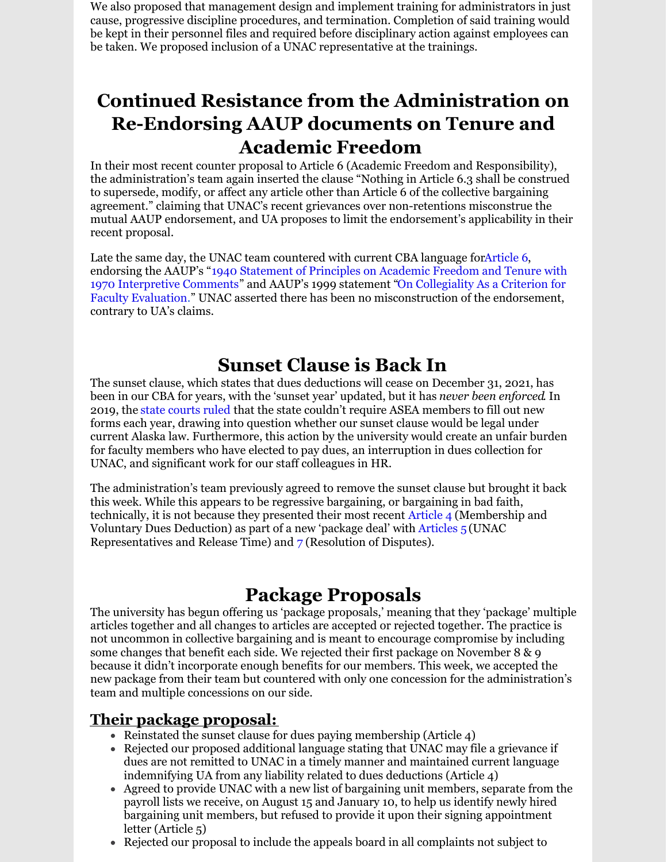We also proposed that management design and implement training for administrators in just cause, progressive discipline procedures, and termination. Completion of said training would be kept in their personnel files and required before disciplinary action against employees can be taken. We proposed inclusion of a UNAC representative at the trainings.

## **Continued Resistance from the Administration on Re-Endorsing AAUP documents on Tenure and Academic Freedom**

In their most recent counter proposal to Article 6 (Academic Freedom and Responsibility), the administration's team again inserted the clause "Nothing in Article 6.3 shall be construed to supersede, modify, or affect any article other than Article 6 of the collective bargaining agreement." claiming that UNAC's recent grievances over non-retentions misconstrue the mutual AAUP endorsement, and UA proposes to limit the endorsement's applicability in their recent proposal.

Late the same day, the UNAC team countered with current CBA language fo[rArticle](http://unitedacademics.net/wp-content/uploads/2021/12/Art-6-UNAC-Counter-11-29.pdf) 6, endorsing the AAUP's "1940 Statement of Principles on Academic Freedom and Tenure with 1970 [Interpretive](https://www.aaup.org/report/1940-statement-principles-academic-freedom-and-tenure) Comments" and AAUP's 1999 statement "On Collegiality As a Criterion for Faculty Evaluation[.](https://www.aaup.org/report/collegiality-criterion-faculty-evaluation)" UNAC asserted there has been no [misconstruction](https://www.aaup.org/report/collegiality-criterion-faculty-evaluation) of the endorsement, contrary to UA's claims.

### **Sunset Clause is Back In**

The sunset clause, which states that dues deductions will cease on December 31, 2021, has been in o[u](https://www.juneauempire.com/news/court-rules-in-unions-favor-over-dues-lawsuit/)r CBA for years, with the 'sunset year' updated, but it has *never been enforced*. In 2019, the state [courts](https://www.juneauempire.com/news/court-rules-in-unions-favor-over-dues-lawsuit/) ruled that the state couldn't require ASEA members to fill out new forms each year, drawing into question whether our sunset clause would be legal under current Alaska law. Furthermore, this action by the university would create an unfair burden for faculty members who have elected to pay dues, an interruption in dues collection for UNAC, and significant work for our staff colleagues in HR.

The administration's team previously agreed to remove the sunset clause but brought it back this week. While this appears to be regressive bargaining, or bargaining in bad faith, technically, it is not because they presented their most recent [Article](http://unitedacademics.net/wp-content/uploads/2021/12/Article-4-UNAC-Counter-pkg-11-30.pdf) 4 (Membership and Voluntary Dues Deduction) as part of a new 'package deal' wit[h](http://unitedacademics.net/wp-content/uploads/2021/12/Article-5-UNAC-Counter-pkg-11-30.pdf) [Articles](http://unitedacademics.net/wp-content/uploads/2021/12/Article-5-UNAC-Counter-pkg-11-30.pdf) 5 (UNAC Representatives and Release Time) and [7](http://unitedacademics.net/wp-content/uploads/2021/11/Article-7-UNAC-Counter-11-16.pdf) (Resolution of Disputes).

### **Package Proposals**

The university has begun offering us 'package proposals,' meaning that they 'package' multiple articles together and all changes to articles are accepted or rejected together. The practice is not uncommon in collective bargaining and is meant to encourage compromise by including some changes that benefit each side. We rejected their first package on November 8 & 9 because it didn't incorporate enough benefits for our members. This week, we accepted the new package from their team but countered with only one concession for the administration's team and multiple concessions on our side.

### **Their package proposal:**

- Reinstated the sunset clause for dues paying membership (Article  $4$ )
- Rejected our proposed additional language stating that UNAC may file a grievance if dues are not remitted to UNAC in a timely manner and maintained current language indemnifying UA from any liability related to dues deductions (Article 4)
- Agreed to provide UNAC with a new list of bargaining unit members, separate from the payroll lists we receive, on August 15 and January 10, to help us identify newly hired bargaining unit members, but refused to provide it upon their signing appointment letter (Article 5)
- Rejected our proposal to include the appeals board in all complaints not subject to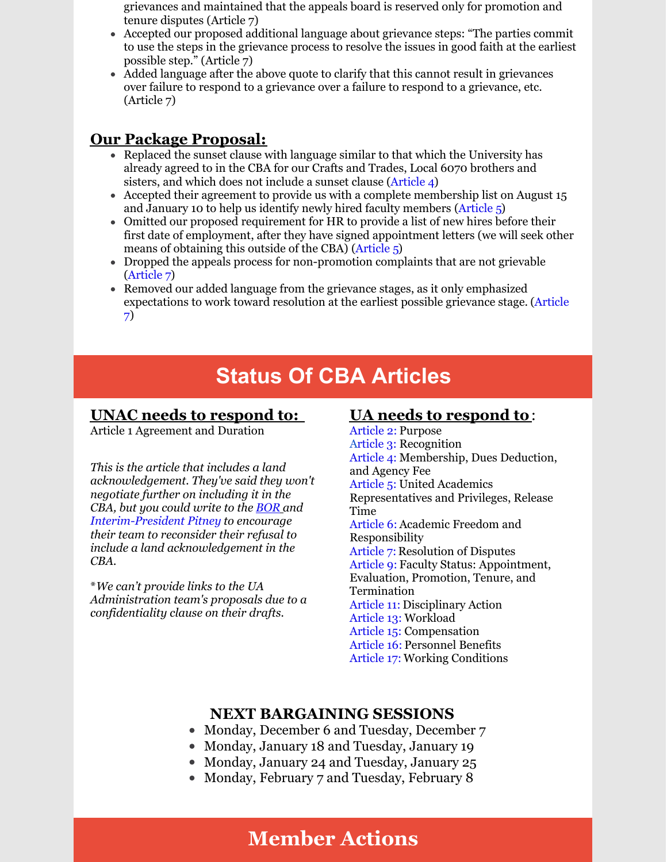grievances and maintained that the appeals board is reserved only for promotion and tenure disputes (Article 7)

- Accepted our proposed additional language about grievance steps: "The parties commit to use the steps in the grievance process to resolve the issues in good faith at the earliest possible step." (Article 7)
- Added language after the above quote to clarify that this cannot result in grievances over failure to respond to a grievance over a failure to respond to a grievance, etc. (Article 7)

### **Our Package Proposal:**

- Replaced the sunset clause with language similar to that which the University has already agreed to in the CBA for our Crafts and Trades, Local 6070 brothers and sisters, and which does not include a sunset clause [\(Article](http://unitedacademics.net/wp-content/uploads/2021/12/Article-4-UNAC-Counter-pkg-11-30.pdf) 4)
- Accepted their agreement to provide us with a complete membership list on August 15 and January 10 to help us identify newly hired faculty members [\(Article](http://unitedacademics.net/wp-content/uploads/2021/12/Article-5-UNAC-Counter-pkg-11-30.pdf) [5\)](http://unitedacademics.net/wp-content/uploads/2021/12/Article-5-UNAC-Counter-pkg-11-30.pdf)
- Omitted our proposed requirement for HR to provide a list of new hires before their first date of employment, after they have signed appointment letters (we will seek other means of obtaining this outside of the CBA) [\(Article](http://unitedacademics.net/wp-content/uploads/2021/12/Article-5-UNAC-Counter-pkg-11-30.pdf) [5\)](http://unitedacademics.net/wp-content/uploads/2021/12/Article-5-UNAC-Counter-pkg-11-30.pdf)
- Dropped the appeals process for non-promotion complaints that are not grievable [\(Article](http://unitedacademics.net/wp-content/uploads/2021/11/Article-7-UNAC-Counter-11-16.pdf) [7\)](http://unitedacademics.net/wp-content/uploads/2021/11/Article-7-UNAC-Counter-11-16.pdf)
- Removed our added language from the grievance stages, as it only emphasized [expectations](http://unitedacademics.net/wp-content/uploads/2021/11/Article-7-UNAC-Counter-11-16.pdf) to work toward resolution at the earliest possible grievance stage. [\(A](http://unitedacademics.net/wp-content/uploads/2021/11/Article-7-UNAC-Counter-11-16.pdf)rticle [7\)](http://unitedacademics.net/wp-content/uploads/2021/11/Article-7-UNAC-Counter-11-16.pdf)

## **Status Of CBA Articles**

### **UNAC needs to respond to:**

Article 1 Agreement and Duration

*This is the article that includes a land acknowledgement. They've said they won't negotiate further on including it in the CBA, but you could write to the [BOR](http://ua-bor@alaska.edu) and [Interim-President](mailto:ua.president@alaska.edu) Pitney to encourage their team to reconsider their refusal to include a land acknowledgement in the CBA.*

\**We can't provide links to the UA Administration team's proposals due to a confidentiality clause on their drafts.*

### **UA needs to respond to**:

[Article](http://unitedacademics.net/wp-content/uploads/2021/11/Art-2-UNAC-Counter-10-25-1.pdf) 2: Purpose [Article](http://unitedacademics.net/wp-content/uploads/2021/11/Art-3-UNAC-Counter-11_16.pdf) 3: Recognition [Article](http://unitedacademics.net/wp-content/uploads/2021/12/Article-4-UNAC-Counter-pkg-11-30.pdf) 4: Membership, Dues Deduction, and Agency Fee [Article](http://unitedacademics.net/wp-content/uploads/2021/12/Article-5-UNAC-Counter-pkg-11-30.pdf) 5: United Academics Representatives and Privileges, Release Time [Article](http://unitedacademics.net/wp-content/uploads/2021/12/Art-6-UNAC-Counter-11-29.pdf) 6: Academic Freedom and Responsibility [Article](http://unitedacademics.net/wp-content/uploads/2021/11/Article-7-UNAC-Counter-11-16.pdf) 7: Resolution of Disputes [Article](http://unitedacademics.net/wp-content/uploads/2021/11/Article-9-UNAC-Counter-11-16.pdf) 9: Faculty Status: Appointment, Evaluation, Promotion, Tenure, and Termination [Article](http://unitedacademics.net/wp-content/uploads/2021/12/Article-11-UNAC-Proposal-11-29.pdf) 11: Disciplinary Action [Article](http://unitedacademics.net/wp-content/uploads/2021/11/Article-13-UNAC-Counter-11-1-21.pdf) 13: Workload [Article](http://unitedacademics.net/wp-content/uploads/2021/10/Article-15-UNAC-proposal-10-18.pdf) 15: Compensation [Article](http://unitedacademics.net/wp-content/uploads/2021/10/Article-16-UNAC-10-19.pdf) 16: Personnel Benefits [Article](http://unitedacademics.net/wp-content/uploads/2021/11/Article-17-UNAC-counterproposal-10-26.pdf) 17: Working Conditions

### **NEXT BARGAINING SESSIONS**

- Monday, December 6 and Tuesday, December 7
- Monday, January 18 and Tuesday, January 19
- Monday, January 24 and Tuesday, January 25
- Monday, February 7 and Tuesday, February 8

## **Member Actions**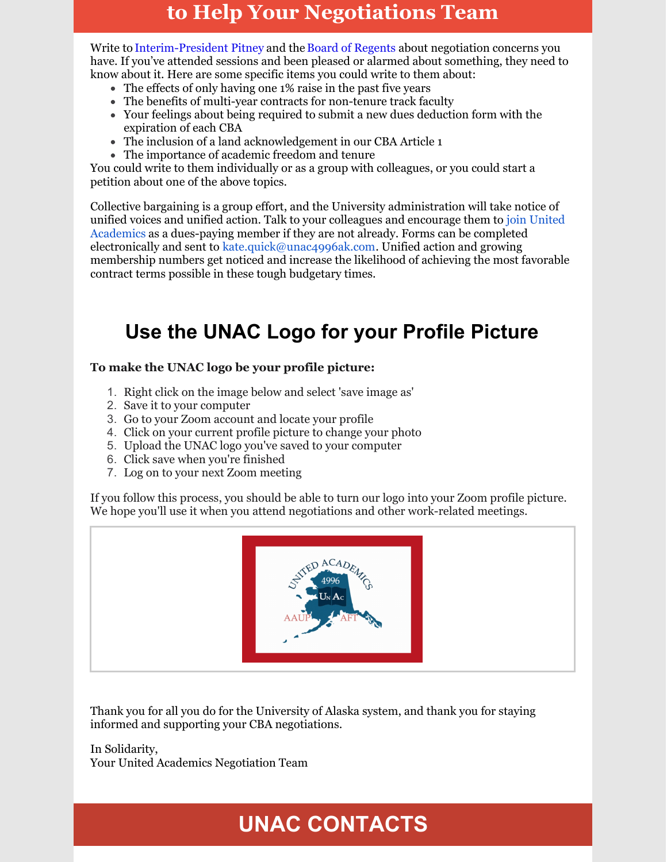## **to Help Your Negotiations Team**

Write t[o](mailto:ua.president@alaska.edu) [Interim-President](mailto:ua.president@alaska.edu) Pitney and the Board of [Regents](http://ua-bor@alaska.edu) about negotiation concerns you have. If you've attended sessions and been pleased or alarmed about something, they need to know about it. Here are some specific items you could write to them about:

- The effects of only having one 1% raise in the past five years
- The benefits of multi-year contracts for non-tenure track faculty
- Your feelings about being required to submit a new dues deduction form with the expiration of each CBA
- The inclusion of a land acknowledgement in our CBA Article 1
- The importance of academic freedom and tenure

You could write to them individually or as a group with colleagues, or you could start a petition about one of the above topics.

Collective bargaining is a group effort, and the University administration will take notice of unified voices and unified action. Talk to your colleagues and encourage them to join United Academics as a [dues-paying](http://unitedacademics.net/wp-content/uploads/UNAC-Membership-Form-4.9.2018.pdf) member if they are not already. Forms can be completed electronically and sent to [kate.quick@unac4996ak.com](mailto:kate.quick@unac4996ak.com). Unified action and growing membership numbers get noticed and increase the likelihood of achieving the most favorable contract terms possible in these tough budgetary times.

## **Use the UNAC Logo for your Profile Picture**

#### **To make the UNAC logo be your profile picture:**

- 1. Right click on the image below and select 'save image as'
- 2. Save it to your computer
- 3. Go to your Zoom account and locate your profile
- 4. Click on your current profile picture to change your photo
- 5. Upload the UNAC logo you've saved to your computer
- 6. Click save when you're finished
- 7. Log on to your next Zoom meeting

If you follow this process, you should be able to turn our logo into your Zoom profile picture. We hope you'll use it when you attend negotiations and other work-related meetings.



Thank you for all you do for the University of Alaska system, and thank you for staying informed and supporting your CBA negotiations.

In Solidarity, Your United Academics Negotiation Team

# **UNAC CONTACTS**